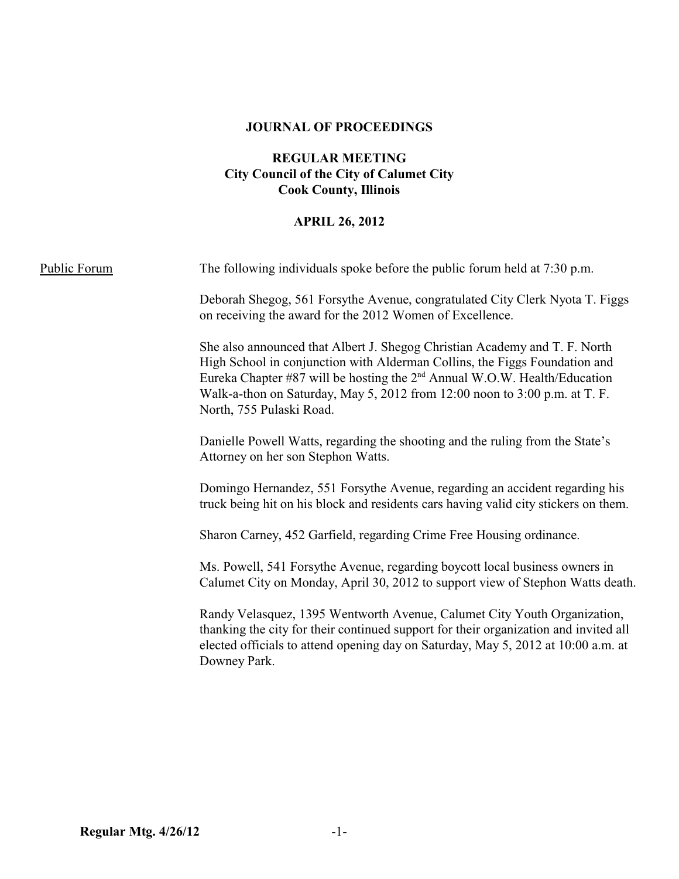#### **JOURNAL OF PROCEEDINGS**

## **REGULAR MEETING City Council of the City of Calumet City Cook County, Illinois**

## **APRIL 26, 2012**

| <b>Public Forum</b> | The following individuals spoke before the public forum held at 7:30 p.m.                                                                                                                                                                                                                                                                                   |
|---------------------|-------------------------------------------------------------------------------------------------------------------------------------------------------------------------------------------------------------------------------------------------------------------------------------------------------------------------------------------------------------|
|                     | Deborah Shegog, 561 Forsythe Avenue, congratulated City Clerk Nyota T. Figgs<br>on receiving the award for the 2012 Women of Excellence.                                                                                                                                                                                                                    |
|                     | She also announced that Albert J. Shegog Christian Academy and T. F. North<br>High School in conjunction with Alderman Collins, the Figgs Foundation and<br>Eureka Chapter #87 will be hosting the 2 <sup>nd</sup> Annual W.O.W. Health/Education<br>Walk-a-thon on Saturday, May 5, 2012 from 12:00 noon to 3:00 p.m. at T. F.<br>North, 755 Pulaski Road. |
|                     | Danielle Powell Watts, regarding the shooting and the ruling from the State's<br>Attorney on her son Stephon Watts.                                                                                                                                                                                                                                         |
|                     | Domingo Hernandez, 551 Forsythe Avenue, regarding an accident regarding his<br>truck being hit on his block and residents cars having valid city stickers on them.                                                                                                                                                                                          |
|                     | Sharon Carney, 452 Garfield, regarding Crime Free Housing ordinance.                                                                                                                                                                                                                                                                                        |
|                     | Ms. Powell, 541 Forsythe Avenue, regarding boycott local business owners in<br>Calumet City on Monday, April 30, 2012 to support view of Stephon Watts death.                                                                                                                                                                                               |
|                     | Randy Velasquez, 1395 Wentworth Avenue, Calumet City Youth Organization,<br>thanking the city for their continued support for their organization and invited all<br>elected officials to attend opening day on Saturday, May 5, 2012 at 10:00 a.m. at<br>Downey Park.                                                                                       |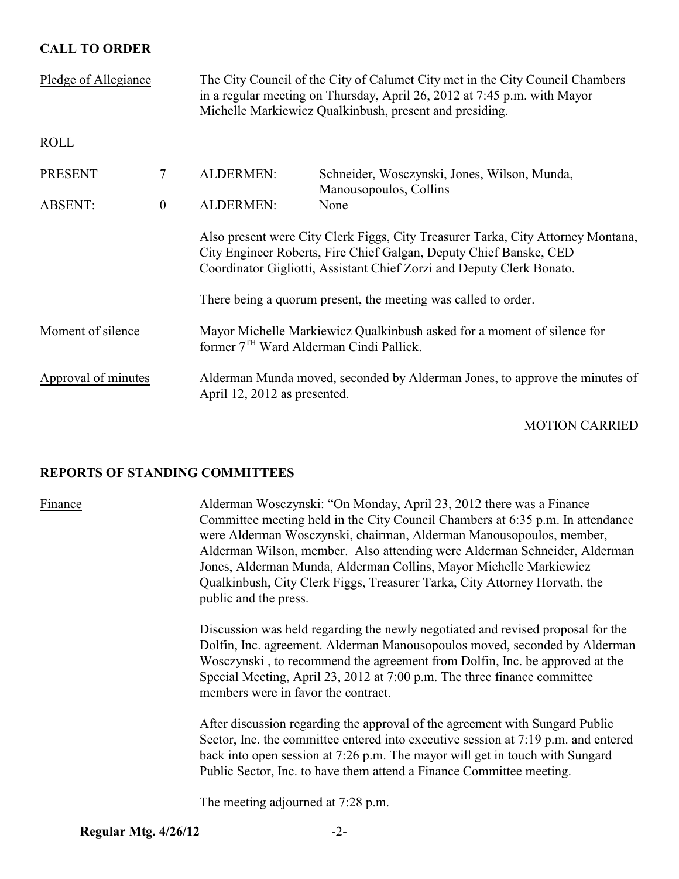## **CALL TO ORDER**

| Pledge of Allegiance |                | The City Council of the City of Calumet City met in the City Council Chambers<br>in a regular meeting on Thursday, April 26, 2012 at 7:45 p.m. with Mayor<br>Michelle Markiewicz Qualkinbush, present and presiding.            |                                                                        |  |
|----------------------|----------------|---------------------------------------------------------------------------------------------------------------------------------------------------------------------------------------------------------------------------------|------------------------------------------------------------------------|--|
| <b>ROLL</b>          |                |                                                                                                                                                                                                                                 |                                                                        |  |
| <b>PRESENT</b>       | $\tau$         | <b>ALDERMEN:</b>                                                                                                                                                                                                                | Schneider, Wosczynski, Jones, Wilson, Munda,<br>Manousopoulos, Collins |  |
| <b>ABSENT:</b>       | $\overline{0}$ | <b>ALDERMEN:</b>                                                                                                                                                                                                                | None                                                                   |  |
|                      |                | Also present were City Clerk Figgs, City Treasurer Tarka, City Attorney Montana,<br>City Engineer Roberts, Fire Chief Galgan, Deputy Chief Banske, CED<br>Coordinator Gigliotti, Assistant Chief Zorzi and Deputy Clerk Bonato. |                                                                        |  |
|                      |                | There being a quorum present, the meeting was called to order.                                                                                                                                                                  |                                                                        |  |
| Moment of silence    |                | Mayor Michelle Markiewicz Qualkinbush asked for a moment of silence for<br>former 7 <sup>TH</sup> Ward Alderman Cindi Pallick.                                                                                                  |                                                                        |  |
| Approval of minutes  |                | Alderman Munda moved, seconded by Alderman Jones, to approve the minutes of<br>April 12, 2012 as presented.                                                                                                                     |                                                                        |  |

### MOTION CARRIED

## **REPORTS OF STANDING COMMITTEES**

Finance Alderman Wosczynski: "On Monday, April 23, 2012 there was a Finance Committee meeting held in the City Council Chambers at 6:35 p.m. In attendance were Alderman Wosczynski, chairman, Alderman Manousopoulos, member, Alderman Wilson, member. Also attending were Alderman Schneider, Alderman Jones, Alderman Munda, Alderman Collins, Mayor Michelle Markiewicz Qualkinbush, City Clerk Figgs, Treasurer Tarka, City Attorney Horvath, the public and the press.

> Discussion was held regarding the newly negotiated and revised proposal for the Dolfin, Inc. agreement. Alderman Manousopoulos moved, seconded by Alderman Wosczynski , to recommend the agreement from Dolfin, Inc. be approved at the Special Meeting, April 23, 2012 at 7:00 p.m. The three finance committee members were in favor the contract.

> After discussion regarding the approval of the agreement with Sungard Public Sector, Inc. the committee entered into executive session at 7:19 p.m. and entered back into open session at 7:26 p.m. The mayor will get in touch with Sungard Public Sector, Inc. to have them attend a Finance Committee meeting.

The meeting adjourned at 7:28 p.m.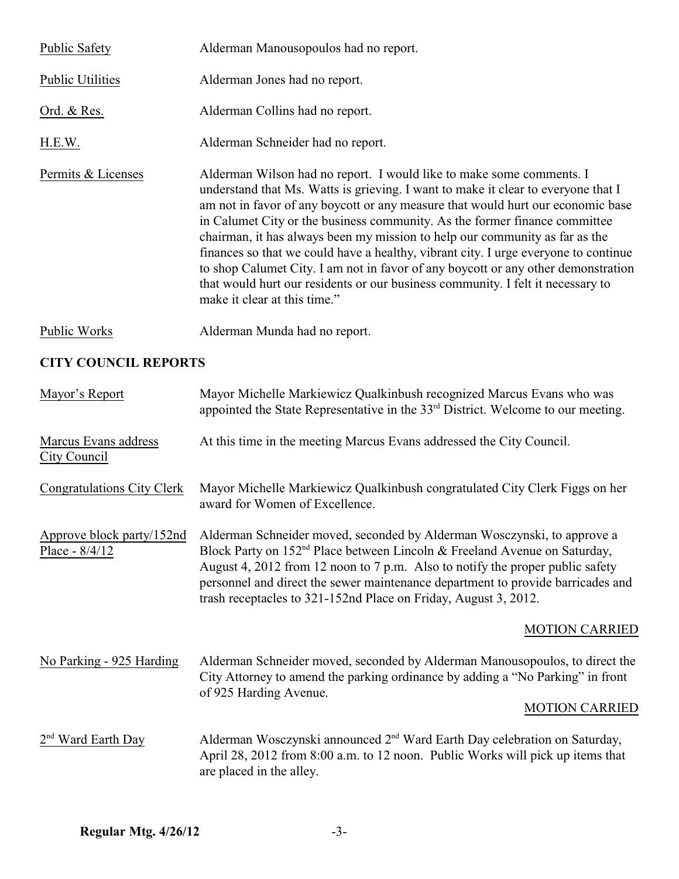| <b>Public Safety</b>    | Alderman Manousopoulos had no report.                                                                                                                                                                                                                                                                                                                                                                                                                                                                                                                                                                                                                                                                    |  |  |
|-------------------------|----------------------------------------------------------------------------------------------------------------------------------------------------------------------------------------------------------------------------------------------------------------------------------------------------------------------------------------------------------------------------------------------------------------------------------------------------------------------------------------------------------------------------------------------------------------------------------------------------------------------------------------------------------------------------------------------------------|--|--|
| <b>Public Utilities</b> | Alderman Jones had no report.                                                                                                                                                                                                                                                                                                                                                                                                                                                                                                                                                                                                                                                                            |  |  |
| Ord. & Res.             | Alderman Collins had no report.                                                                                                                                                                                                                                                                                                                                                                                                                                                                                                                                                                                                                                                                          |  |  |
| H.E.W.                  | Alderman Schneider had no report.                                                                                                                                                                                                                                                                                                                                                                                                                                                                                                                                                                                                                                                                        |  |  |
| Permits & Licenses      | Alderman Wilson had no report. I would like to make some comments. I<br>understand that Ms. Watts is grieving. I want to make it clear to everyone that I<br>am not in favor of any boycott or any measure that would hurt our economic base<br>in Calumet City or the business community. As the former finance committee<br>chairman, it has always been my mission to help our community as far as the<br>finances so that we could have a healthy, vibrant city. I urge everyone to continue<br>to shop Calumet City. I am not in favor of any boycott or any other demonstration<br>that would hurt our residents or our business community. I felt it necessary to<br>make it clear at this time." |  |  |
| Public Works            | Alderman Munda had no report.                                                                                                                                                                                                                                                                                                                                                                                                                                                                                                                                                                                                                                                                            |  |  |

# **CITY COUNCIL REPORTS**

| Mayor's Report                                | Mayor Michelle Markiewicz Qualkinbush recognized Marcus Evans who was<br>appointed the State Representative in the 33 <sup>rd</sup> District. Welcome to our meeting.                                                                                                                                                                                                                                   |
|-----------------------------------------------|---------------------------------------------------------------------------------------------------------------------------------------------------------------------------------------------------------------------------------------------------------------------------------------------------------------------------------------------------------------------------------------------------------|
| Marcus Evans address<br>City Council          | At this time in the meeting Marcus Evans addressed the City Council.                                                                                                                                                                                                                                                                                                                                    |
| <b>Congratulations City Clerk</b>             | Mayor Michelle Markiewicz Qualkinbush congratulated City Clerk Figgs on her<br>award for Women of Excellence.                                                                                                                                                                                                                                                                                           |
| Approve block party/152nd<br>Place - $8/4/12$ | Alderman Schneider moved, seconded by Alderman Wosczynski, to approve a<br>Block Party on 152 <sup>nd</sup> Place between Lincoln & Freeland Avenue on Saturday,<br>August 4, 2012 from 12 noon to 7 p.m. Also to notify the proper public safety<br>personnel and direct the sewer maintenance department to provide barricades and<br>trash receptacles to 321-152nd Place on Friday, August 3, 2012. |
|                                               | <b>MOTION CARRIED</b>                                                                                                                                                                                                                                                                                                                                                                                   |
| No Parking - 925 Harding                      | Alderman Schneider moved, seconded by Alderman Manousopoulos, to direct the<br>City Attorney to amend the parking ordinance by adding a "No Parking" in front<br>of 925 Harding Avenue.<br><b>MOTION CARRIED</b>                                                                                                                                                                                        |
| $2nd$ Ward Earth Day                          | Alderman Wosczynski announced 2 <sup>nd</sup> Ward Earth Day celebration on Saturday,<br>April 28, 2012 from 8:00 a.m. to 12 noon. Public Works will pick up items that<br>are placed in the alley.                                                                                                                                                                                                     |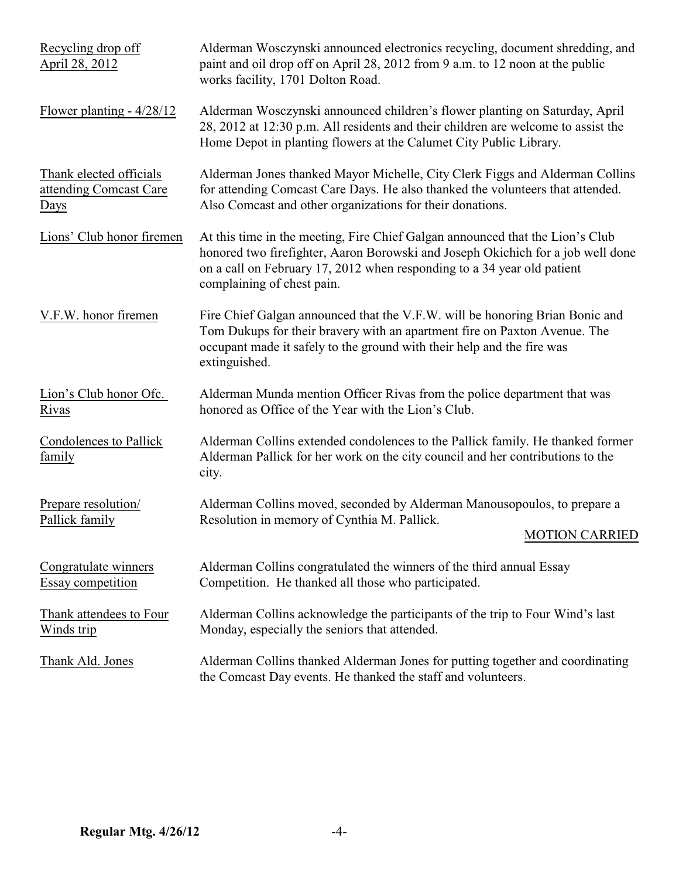| Recycling drop off<br>April 28, 2012                      | Alderman Wosczynski announced electronics recycling, document shredding, and<br>paint and oil drop off on April 28, 2012 from 9 a.m. to 12 noon at the public<br>works facility, 1701 Dolton Road.                                                                        |
|-----------------------------------------------------------|---------------------------------------------------------------------------------------------------------------------------------------------------------------------------------------------------------------------------------------------------------------------------|
| Flower planting - $4/28/12$                               | Alderman Wosczynski announced children's flower planting on Saturday, April<br>28, 2012 at 12:30 p.m. All residents and their children are welcome to assist the<br>Home Depot in planting flowers at the Calumet City Public Library.                                    |
| Thank elected officials<br>attending Comcast Care<br>Days | Alderman Jones thanked Mayor Michelle, City Clerk Figgs and Alderman Collins<br>for attending Comcast Care Days. He also thanked the volunteers that attended.<br>Also Comcast and other organizations for their donations.                                               |
| Lions' Club honor firemen                                 | At this time in the meeting, Fire Chief Galgan announced that the Lion's Club<br>honored two firefighter, Aaron Borowski and Joseph Okichich for a job well done<br>on a call on February 17, 2012 when responding to a 34 year old patient<br>complaining of chest pain. |
| V.F.W. honor firemen                                      | Fire Chief Galgan announced that the V.F.W. will be honoring Brian Bonic and<br>Tom Dukups for their bravery with an apartment fire on Paxton Avenue. The<br>occupant made it safely to the ground with their help and the fire was<br>extinguished.                      |
| Lion's Club honor Ofc.<br>Rivas                           | Alderman Munda mention Officer Rivas from the police department that was<br>honored as Office of the Year with the Lion's Club.                                                                                                                                           |
| <b>Condolences to Pallick</b><br>family                   | Alderman Collins extended condolences to the Pallick family. He thanked former<br>Alderman Pallick for her work on the city council and her contributions to the<br>city.                                                                                                 |
| Prepare resolution/<br>Pallick family                     | Alderman Collins moved, seconded by Alderman Manousopoulos, to prepare a<br>Resolution in memory of Cynthia M. Pallick.<br><b>MOTION CARRIED</b>                                                                                                                          |
| Congratulate winners<br><b>Essay competition</b>          | Alderman Collins congratulated the winners of the third annual Essay<br>Competition. He thanked all those who participated.                                                                                                                                               |
| Thank attendees to Four<br>Winds trip                     | Alderman Collins acknowledge the participants of the trip to Four Wind's last<br>Monday, especially the seniors that attended.                                                                                                                                            |
| Thank Ald. Jones                                          | Alderman Collins thanked Alderman Jones for putting together and coordinating<br>the Comcast Day events. He thanked the staff and volunteers.                                                                                                                             |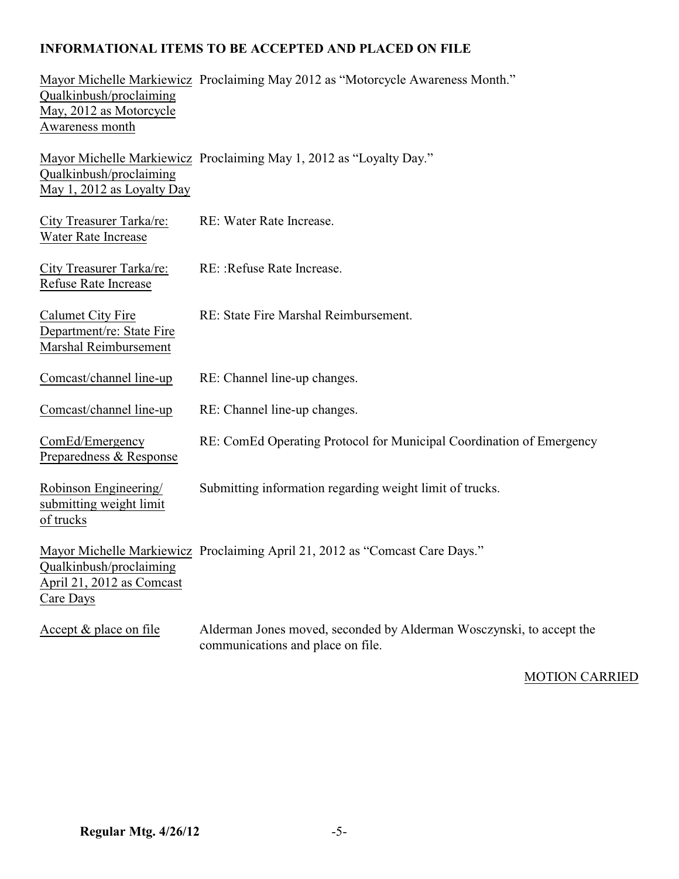# **INFORMATIONAL ITEMS TO BE ACCEPTED AND PLACED ON FILE**

| Qualkinbush/proclaiming<br>May, 2012 as Motorcycle<br>Awareness month          | Mayor Michelle Markiewicz Proclaiming May 2012 as "Motorcycle Awareness Month."                           |
|--------------------------------------------------------------------------------|-----------------------------------------------------------------------------------------------------------|
| Qualkinbush/proclaiming<br>May 1, 2012 as Loyalty Day                          | Mayor Michelle Markiewicz Proclaiming May 1, 2012 as "Loyalty Day."                                       |
| City Treasurer Tarka/re:<br>Water Rate Increase                                | RE: Water Rate Increase.                                                                                  |
| <b>City Treasurer Tarka/re:</b><br>Refuse Rate Increase                        | RE: : Refuse Rate Increase.                                                                               |
| <b>Calumet City Fire</b><br>Department/re: State Fire<br>Marshal Reimbursement | RE: State Fire Marshal Reimbursement.                                                                     |
| Comcast/channel line-up                                                        | RE: Channel line-up changes.                                                                              |
| Comcast/channel line-up                                                        | RE: Channel line-up changes.                                                                              |
| ComEd/Emergency<br>Preparedness & Response                                     | RE: ComEd Operating Protocol for Municipal Coordination of Emergency                                      |
| Robinson Engineering/<br>submitting weight limit<br>of trucks                  | Submitting information regarding weight limit of trucks.                                                  |
| Qualkinbush/proclaiming<br>April 21, 2012 as Comcast<br>Care Days              | Mayor Michelle Markiewicz Proclaiming April 21, 2012 as "Comcast Care Days."                              |
| Accept & place on file                                                         | Alderman Jones moved, seconded by Alderman Wosczynski, to accept the<br>communications and place on file. |

MOTION CARRIED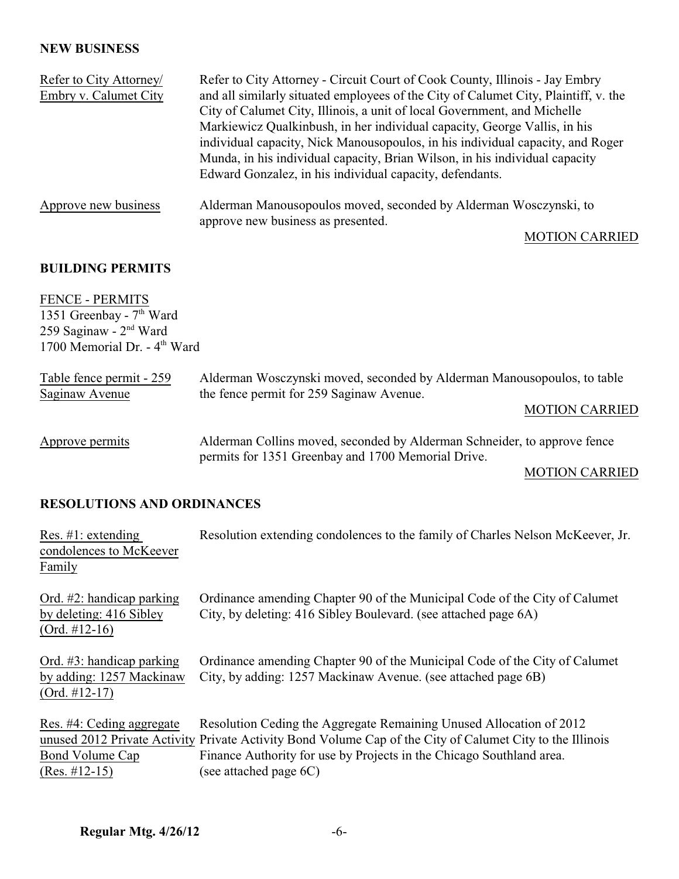## **NEW BUSINESS**

| Refer to City Attorney<br>Embry v. Calumet City | Refer to City Attorney - Circuit Court of Cook County, Illinois - Jay Embry<br>and all similarly situated employees of the City of Calumet City, Plaintiff, v. the<br>City of Calumet City, Illinois, a unit of local Government, and Michelle<br>Markiewicz Qualkinbush, in her individual capacity, George Vallis, in his<br>individual capacity, Nick Manousopoulos, in his individual capacity, and Roger<br>Munda, in his individual capacity, Brian Wilson, in his individual capacity<br>Edward Gonzalez, in his individual capacity, defendants. |
|-------------------------------------------------|----------------------------------------------------------------------------------------------------------------------------------------------------------------------------------------------------------------------------------------------------------------------------------------------------------------------------------------------------------------------------------------------------------------------------------------------------------------------------------------------------------------------------------------------------------|
| Approve new business                            | Alderman Manousopoulos moved, seconded by Alderman Wosczynski, to<br>approve new business as presented.                                                                                                                                                                                                                                                                                                                                                                                                                                                  |

## MOTION CARRIED

### **BUILDING PERMITS**

FENCE - PERMITS 1351 Greenbay -  $7<sup>th</sup>$  Ward 259 Saginaw - 2<sup>nd</sup> Ward 1700 Memorial Dr. - 4<sup>th</sup> Ward

| Table fence permit - 259<br>Saginaw Avenue | Alderman Wosczynski moved, seconded by Alderman Manousopoulos, to table<br>the fence permit for 259 Saginaw Avenue.            |  |
|--------------------------------------------|--------------------------------------------------------------------------------------------------------------------------------|--|
|                                            | <b>MOTION CARRIED</b>                                                                                                          |  |
| Approve permits                            | Alderman Collins moved, seconded by Alderman Schneider, to approve fence<br>permits for 1351 Greenbay and 1700 Memorial Drive. |  |

### MOTION CARRIED

# **RESOLUTIONS AND ORDINANCES**

| Res. $\#1$ : extending<br>condolences to McKeever<br>Family                 | Resolution extending condolences to the family of Charles Nelson McKeever, Jr.                                                                                                                                                                                                     |
|-----------------------------------------------------------------------------|------------------------------------------------------------------------------------------------------------------------------------------------------------------------------------------------------------------------------------------------------------------------------------|
| Ord. $#2$ : handicap parking<br>by deleting: 416 Sibley<br>$(Ord. #12-16)$  | Ordinance amending Chapter 90 of the Municipal Code of the City of Calumet<br>City, by deleting: 416 Sibley Boulevard. (see attached page 6A)                                                                                                                                      |
| Ord. $#3$ : handicap parking<br>by adding: 1257 Mackinaw<br>$(Ord. #12-17)$ | Ordinance amending Chapter 90 of the Municipal Code of the City of Calumet<br>City, by adding: 1257 Mackinaw Avenue. (see attached page 6B)                                                                                                                                        |
| Res. #4: Ceding aggregate<br>Bond Volume Cap<br>$(Res. #12-15)$             | Resolution Ceding the Aggregate Remaining Unused Allocation of 2012<br>unused 2012 Private Activity Private Activity Bond Volume Cap of the City of Calumet City to the Illinois<br>Finance Authority for use by Projects in the Chicago Southland area.<br>(see attached page 6C) |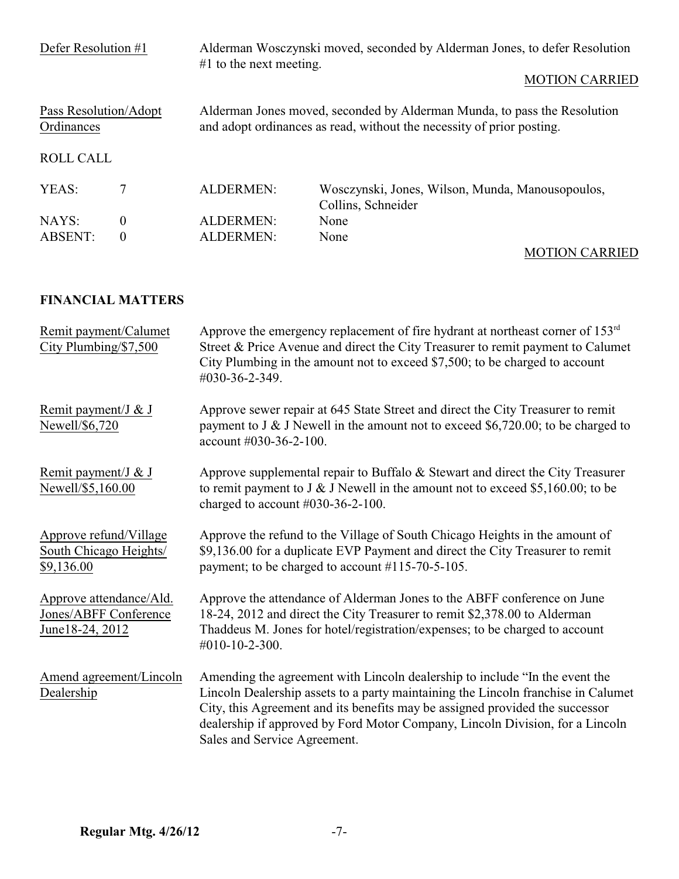| Defer Resolution #1                 |          | $#1$ to the next meeting. | Alderman Wosczynski moved, seconded by Alderman Jones, to defer Resolution<br><b>MOTION CARRIED</b>                                               |
|-------------------------------------|----------|---------------------------|---------------------------------------------------------------------------------------------------------------------------------------------------|
| Pass Resolution/Adopt<br>Ordinances |          |                           | Alderman Jones moved, seconded by Alderman Munda, to pass the Resolution<br>and adopt ordinances as read, without the necessity of prior posting. |
| <b>ROLL CALL</b>                    |          |                           |                                                                                                                                                   |
| YEAS:                               | 7        | <b>ALDERMEN:</b>          | Wosczynski, Jones, Wilson, Munda, Manousopoulos,<br>Collins, Schneider                                                                            |
| NAYS:                               | $\theta$ | <b>ALDERMEN:</b>          | None                                                                                                                                              |
| <b>ABSENT:</b>                      | $\theta$ | <b>ALDERMEN:</b>          | None                                                                                                                                              |
|                                     |          |                           | <b>MOTION CARRIED</b>                                                                                                                             |

# **FINANCIAL MATTERS**

| Remit payment/Calumet<br>City Plumbing/\$7,500                       | Approve the emergency replacement of fire hydrant at northeast corner of $153rd$<br>Street & Price Avenue and direct the City Treasurer to remit payment to Calumet<br>City Plumbing in the amount not to exceed \$7,500; to be charged to account<br>#030-36-2-349.                                                                                              |
|----------------------------------------------------------------------|-------------------------------------------------------------------------------------------------------------------------------------------------------------------------------------------------------------------------------------------------------------------------------------------------------------------------------------------------------------------|
| Remit payment/J & J<br>Newell/\$6,720                                | Approve sewer repair at 645 State Street and direct the City Treasurer to remit<br>payment to J & J Newell in the amount not to exceed $$6,720.00$ ; to be charged to<br>account #030-36-2-100.                                                                                                                                                                   |
| Remit payment/J & J<br>Newell/\$5,160.00                             | Approve supplemental repair to Buffalo & Stewart and direct the City Treasurer<br>to remit payment to $J & J$ Newell in the amount not to exceed \$5,160.00; to be<br>charged to account $\#030-36-2-100$ .                                                                                                                                                       |
| Approve refund/Village<br>South Chicago Heights/<br>\$9,136.00       | Approve the refund to the Village of South Chicago Heights in the amount of<br>\$9,136.00 for a duplicate EVP Payment and direct the City Treasurer to remit<br>payment; to be charged to account #115-70-5-105.                                                                                                                                                  |
| Approve attendance/Ald.<br>Jones/ABFF Conference<br>June 18-24, 2012 | Approve the attendance of Alderman Jones to the ABFF conference on June<br>18-24, 2012 and direct the City Treasurer to remit \$2,378.00 to Alderman<br>Thaddeus M. Jones for hotel/registration/expenses; to be charged to account<br>#010-10-2-300.                                                                                                             |
| Amend agreement/Lincoln<br>Dealership                                | Amending the agreement with Lincoln dealership to include "In the event the<br>Lincoln Dealership assets to a party maintaining the Lincoln franchise in Calumet<br>City, this Agreement and its benefits may be assigned provided the successor<br>dealership if approved by Ford Motor Company, Lincoln Division, for a Lincoln<br>Sales and Service Agreement. |